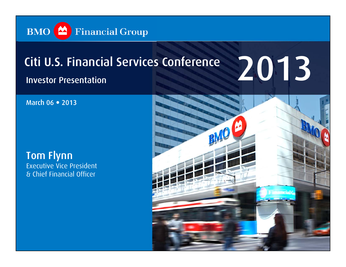#### **BMO**  $\Delta$ **Financial Group**

# Citi U.S. Financial Services Conference

### Investor Presentation

March 06 • 2013

### Tom Flynn Executive Vice President & Chief Financial Officer



2013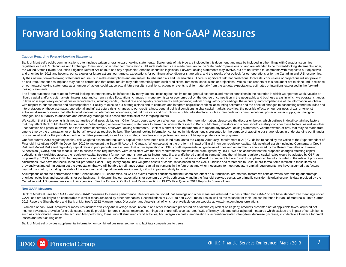## Forward Looking Statements & Non-GAAP Measures

#### **Caution Regarding Forward-Looking Statements**

Bank of Montreal's public communications often include written or oral forward-looking statements. Statements of this type are included in this document, and may be included in other filings with Canadian securities regulators or the U.S. Securities and Exchange Commission, or in other communications. All such statements are made pursuant to the "safe harbor" provisions of, and are intended to be forward-looking statements under, the United States Private Securities Litigation Reform Act of 1995 and any applicable Canadian securities legislation. Forward-looking statements may involve, but are not limited to, comments with respect to our objectives and priorities for 2013 and beyond, our strategies or future actions, our targets, expectations for our financial condition or share price, and the results of or outlook for our operations or for the Canadian and U.S. econ

By their nature, forward-looking statements require us to make assumptions and are subject to inherent risks and uncertainties. There is significant risk that predictions, forecasts, conclusions or projections will not pro be accurate, that our assumptions may not be correct and that actual results may differ materially from such predictions, forecasts, conclusions or projections. We caution readers of this document not to place undue relian on our forward-looking statements as a number of factors could cause actual future results, conditions, actions or events to differ materially from the targets, expectations, estimates or intentions expressed in the forwar looking statements.

The future outcomes that relate to forward-looking statements may be influenced by many factors, including but not limited to: general economic and market conditions in the countries in which we operate; weak, volatile or illiquid capital and/or credit markets; interest rate and currency value fluctuations; changes in monetary, fiscal or economic policy; the degree of competition in the geographic and business areas in which we operate; cha in laws or in supervisory expectations or requirements, including capital, interest rate and liquidity requirements and guidance; judicial or regulatory proceedings; the accuracy and completeness of the information we obta with respect to our customers and counterparties; our ability to execute our strategic plans and to complete and integrate acquisitions; critical accounting estimates and the effect of changes to accounting standards, rule interpretations on these estimates: operational and infrastructure risks: changes to our credit ratings: general political conditions: global capital markets activities: the possible effects on our business of war or terro activities; disease or illness that affects local, national or international economies; natural disasters and disruptions to public infrastructure, such as transportation, communications, power or water supply; technological changes; and our ability to anticipate and effectively manage risks associated with all of the foregoing factors.

We caution that the foregoing list is not exhaustive of all possible factors. Other factors could adversely affect our results. For more information, please see the discussion below, which outlines in detail certain key fa that may affect Bank of Montreal's future results. When relying on forward-looking statements to make decisions with respect to Bank of Montreal, investors and others should carefully consider these factors, as well as other uncertainties and potential events, and the inherent uncertainty of forward-looking statements. Bank of Montreal does not undertake to update any forward-looking statements, whether written or oral, that may be made from time to time by the organization or on its behalf, except as required by law. The forward-looking information contained in this document is presented for the purpose of assisting our shareholders in understanding our finan position as at and for the periods ended on the dates presented, as well as our strategic priorities and objectives, and may not be appropriate for other purposes.

Our first quarter 2013 regulatory capital, risk-weighted assets and regulatory capital ratios have been calculated pursuant to the Capital Adequacy Requirement (CAR) Guideline released by the Office of the Superintendent o Financial Institutions (OSFI) in December 2012 to implement the Basel III Accord in Canada. When calculating the pro-forma impact of Basel III on our regulatory capital, risk-weighted assets (including Counterparty Credit Risk and Market Risk) and regulatory capital ratios in prior periods, we assumed that our interpretation of OSFI's draft implementation guideline of rules and amendments announced by the Basel Committee on Banking Supervision (BCBS), and our models used to assess those requirements, were consistent with the final requirements that would be promulgated by OSFI. We also assumed that the proposed changes affecting capital deductions, risk-weighted assets, the regulatory capital treatment for non-common share capital instruments (i.e. grandfathered capital instruments) and the minimum regulatory capital ratios would be adopted by OSFI as proposed by BCBS, unless OSFI had expressly advised otherwise. We also assumed that existing capital instruments that are non-Basel III compliant but are Basel II compliant can be fully included in the relevant pro-forma calculations. We have not recalculated our pro-forma Basel III regulatory capital, risk-weighted assets or capital ratios based on the CAR Guideline and references to Basel III pro-forma items referred to these items as previously estimated. In setting out the expectation that we will be able to refinance certain capital instruments in the future, as and when necessary to meet regulatory capital requirements, we have assumed that factors beyond our control, including the state of the economic and capital markets environment, will not impair our ability to do so.

Assumptions about the performance of the Canadian and U.S. economies, as well as overall market conditions and their combined effect on our business, are material factors we consider when determining our strategic priorities, objectives and expectations for our business. In determining our expectations for economic growth, both broadly and in the financial services sector, we primarily consider historical economic data provided by t Canadian and U.S. governments and their agencies. See the Economic Outlook and Review section in BMO's First Quarter 2013 Report to Shareholders.

#### **Non-GAAP Measures**

Bank of Montreal uses both GAAP and non-GAAP measures to assess performance. Readers are cautioned that earnings and other measures adjusted to a basis other than GAAP do not have standardized meanings under GAAP and are unlikely to be comparable to similar measures used by other companies. Reconciliations of GAAP to non-GAAP measures as well as the rationale for their use can be found in Bank of Montreal's First Quarter 2013 Report to Shareholders and Bank of Montreal's 2012 Management's Discussion and Analysis, all of which are available on our website at www.bmo.com/investorrelations.

Examples of non-GAAP amounts or measures include: efficiency and leverage ratios; revenue and other measures presented on a taxable equivalent basis (teb); amounts presented net of applicable taxes; adjusted net income, revenues, provision for credit losses, specific provision for credit losses, expenses, earnings per share, effective tax rate, ROE, efficiency ratio and other adjusted measures which exclude the impact of certain i such as credit-related items on the acquired M&I performing loans, run-off structured credit activities, M&I integration costs, amortization of acquisition-related intangibles, decrease (increase) in collective allowance f losses and restructuring costs.

Bank of Montreal provides supplemental information on combined business segments to facilitate comparisons to peers.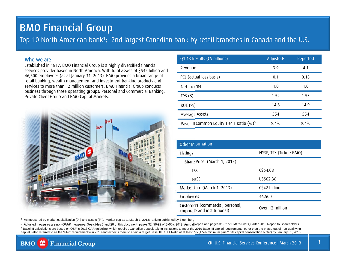## BMO Financial Group

Top 10 North American bank<sup>1</sup>; 2nd largest Canadian bank by retail branches in Canada and the U.S.

#### Who we are

Established in 1817, BMO Financial Group is a highly diversified financial services provider based in North America. With total assets of \$542 billion and 46,500 employees (as at January 31, 2013), BMO provides a broad range of retail banking, wealth management and investment banking products and services to more than 12 million customers. BMO Financial Group conducts business through three operating groups: Personal and Commercial Banking, Private Client Group and BMO Capital Markets.



| Q1 13 Results (C\$ billions)                  | Adjusted <sup>2</sup> | Reported |
|-----------------------------------------------|-----------------------|----------|
| Revenue                                       | 3.9                   | 4.1      |
| PCL (actual loss basis)                       | 0.1                   | 0.18     |
| Net Income                                    | 1.0                   | 1.0      |
| EPS $(5)$                                     | 1.52                  | 1.53     |
| ROE (%)                                       | 14.8                  | 14.9     |
| Average Assets                                | 554                   | 554      |
| Basel III Common Equity Tier 1 Ratio $(\%)^3$ | $9.4\%$               | $9.4\%$  |

| Other Information                                                |                         |
|------------------------------------------------------------------|-------------------------|
| Listings                                                         | NYSE, TSX (Ticker: BMO) |
| Share Price (March 1, 2013)                                      |                         |
| <b>TSX</b>                                                       | C\$64.08                |
| NYSE                                                             | US\$62.36               |
| Market Cap (March 1, 2013)                                       | C\$42 billion           |
| Employees                                                        | 46,500                  |
| Customers (commercial, personal,<br>corporate and institutional) | Over 12 million         |

 $^1$  As measured by market capitalization (9<sup>th</sup>) and assets (8<sup>th</sup>). Market cap as at March 1, 2013; ranking published by Bloomberg

 $^2$  Adjusted measures are non-GAAP measures. See slides 2 and 28 of this document, pages 32, 98-99 of BMO's 2012 Annual Report and pages 31-32 of BMO's First Quarter 2013 Report to Shareholders

<sup>3</sup> Basel III calculations are based on OSFI's 2013 CAR guideline, which requires Canadian deposit-taking institutions to meet the 2019 Basel III capital requirements, other than the phase-out of non-qualifying capital, (also referred to as the 'all-in' requirements) in 2013 and expects them to attain a target Basel III CET1 Ratio of at least 7% (4.5% minimum plus 2.5% capital conservation buffer) by January 31, 2013.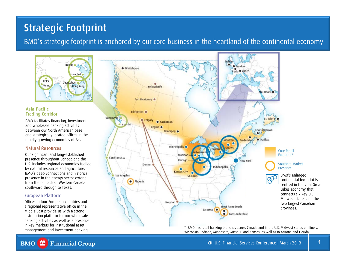## Strategic Footprint

BMO's strategic footprint is anchored by our core business in the heartland of the continental economy



#### **Asia-Pacific Trading Corridor**

BMO facilitates financing, investment and wholesale banking activities between our North American baseand strategically located offices in the rapidly growing economies of Asia.

#### **Natural Resources**

Our significant and long-established presence throughout Canada and the U.S. includes regional economies fuelled by natural resources and agriculture. BMO's deep connections and historical presence in the energy sector extend from the oilfields of Western Canadasouthward through to Texas.

#### **European Platform**

Offices in four European countries and a regional representative office in the Middle East provide us with a strong distribution platform for our wholesale banking activities as well as a presence in key markets for institutional asset management and investment banking.



\* BMO has retail banking branches across Canada and in the U.S. Midwest states of Illinois, Wisconsin, Indiana, Minnesota, Missouri and Kansas, as well as in Arizona and Florida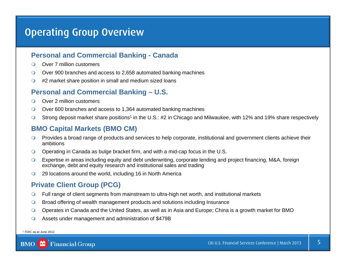### Operating Group Overview

#### **Personal and Commercial Banking - Canada**

- $\Omega$ Over 7 million customers
- $\circ$ Over 900 branches and access to 2,658 automated banking machines
- $\bullet$ #2 market share position in small and medium sized loans

### **Personal and Commercial Banking – U.S.**

- $\Omega$ Over 2 million customers
- $\bullet$ Over 600 branches and access to 1,364 automated banking machines
- $\Omega$ Strong deposit market share positions<sup>1</sup> in the U.S.: #2 in Chicago and Milwaukee, with 12% and 19% share respectively

#### **BMO Capital Markets (BMO CM)**

- $\Omega$  Provides a broad range of products and services to help corporate, institutional and government clients achieve their ambitions
- $\cup$ Operating in Canada as bulge bracket firm, and with a mid-cap focus in the U.S.
- $\Omega$  Expertise in areas including equity and debt underwriting, corporate lending and project financing, M&A, foreign exchange, debt and equity research and institutional sales and trading
- $\bullet$ 29 locations around the world, including 16 in North America

### **Private Client Group (PCG)**

- $\bullet$ Full range of client segments from mainstream to ultra-high net worth, and institutional markets
- $\circ$ Broad offering of wealth management products and solutions including Insurance
- $\bullet$ Operates in Canada and the United States, as well as in Asia and Europe; China is a growth market for BMO
- $\Omega$ Assets under management and administration of \$479B

#### 1 FDIC as at June 2012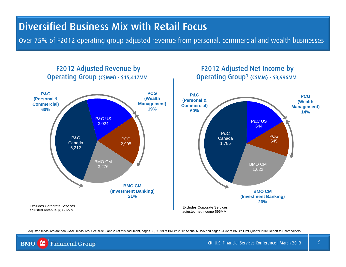## Diversified Business Mix with Retail Focus

Over 75% of F2012 operating group adjusted revenue from personal, commercial and wealth businesses

### F2012 Adjusted Revenue by Operating Group (C\$MM) - \$15,417MM



### F2012 Adjusted Net Income by Operating Group<sup>1</sup> (C\$MM) - \$3,996MM



1 Adjusted measures are non-GAAP measures. See slide 2 and 28 of this document, pages 32, 98-99 of BMO's 2012 Annual MD&A and pages 31-32 of BMO's First Quarter 2013 Report to Shareholders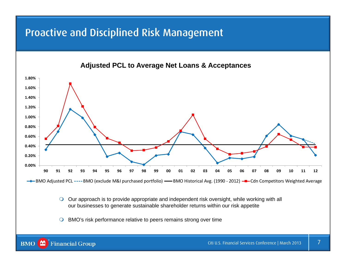### Proactive and Disciplined Risk Management



- our businesses to generate sustainable shareholder returns within our risk appetite
- $\bullet$ BMO's risk performance relative to peers remains strong over time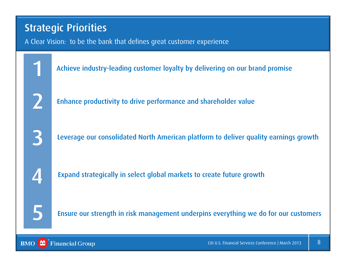## Strategic Priorities

A Clear Vision: to be the bank that defines great customer experience

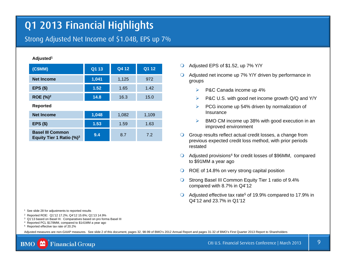## Q1 2013 Financial Highlights

### Strong Adjusted Net Income of \$1.04B, EPS up 7%

#### **Adjusted1**

| (C\$MM)                                                         | Q1 13 | Q4 12 | Q1 12 |
|-----------------------------------------------------------------|-------|-------|-------|
| <b>Net Income</b>                                               | 1,041 | 1,125 | 972   |
| $EPS($ \$)                                                      | 1.52  | 1.65  | 1.42  |
| <b>ROE</b> (%) <sup>2</sup>                                     | 14.8  | 16.3  | 15.0  |
| <b>Reported</b>                                                 |       |       |       |
| <b>Net Income</b>                                               | 1,048 | 1,082 | 1,109 |
| <b>EPS (\$)</b>                                                 | 1.53  | 1.59  | 1.63  |
| <b>Basel III Common</b><br>Equity Tier 1 Ratio (%) <sup>3</sup> | 9.4   | 8.7   | 7.2   |

- Adjusted EPS of \$1.52, up 7% Y/Y
- Adjusted net income up 7% Y/Y driven by performance in groups
	- $\blacktriangleright$ P&C Canada income up 4%
	- $\blacktriangleright$ P&C U.S. with good net income growth Q/Q and Y/Y
	- ➤ PCG income up 54% driven by normalization of Insurance
	- ≻ BMO CM income up 38% with good execution in an improved environment
- $\bigcirc$  Group results reflect actual credit losses, a change from previous expected credit loss method, with prior periods restated
- $\bigcirc$  Adjusted provisions<sup>4</sup> for credit losses of \$96MM, compared to \$91MM a year ago
- ◯ ROE of 14.8% on very strong capital position
- **Strong Basel III Common Equity Tier 1 ratio of 9.4%** compared with 8.7% in Q4'12
- $\bigcirc$  Adjusted effective tax rate<sup>5</sup> of 19.9% compared to 17.9% in Q4'12 and 23.7% in Q1'12

1 See slide 28 for adjustments to reported results

- 2 Reported ROE: Q1'12 17.2%; Q4'12 15.6%; Q1'13 14.9%
- <sup>3</sup> Q1'13 based on Basel III. Comparatives based on pro forma Basel III
- 4 Reported PCL \$178MM, compared to \$141MM a year ago

5 Reported effective tax rate of 20.2%

Adjusted measures are non-GAAP measures. See slide 2 of this document, pages 32, 98-99 of BMO's 2012 Annual Report and pages 31-32 of BMO's First Quarter 2013 Report to Shareholders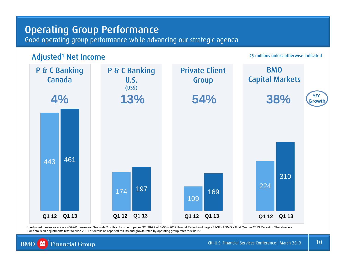## Operating Group Performance

Good operating group performance while advancing our strategic agenda

### Adjusted1 Net Income

C\$ millions unless otherwise indicated



1 Adjusted measures are non-GAAP measures. See slide 2 of this document, pages 32, 98-99 of BMO's 2012 Annual Report and pages 31-32 of BMO's First Quarter 2013 Report to Shareholders. For details on adjustments refer to slide 28. For details on reported results and growth rates by operating group refer to slide 27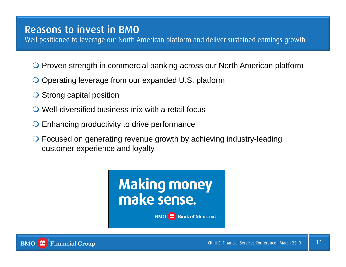### Reasons to invest in BMO

Well positioned to leverage our North American platform and deliver sustained earnings growth

- O Proven strength in commercial banking across our North American platform
- O Operating leverage from our expanded U.S. platform
- $\bigcirc$  Strong capital position
- Well-diversified business mix with a retail focus
- Enhancing productivity to drive performance
- Focused on generating revenue growth by achieving industry-leading customer experience and loyalty



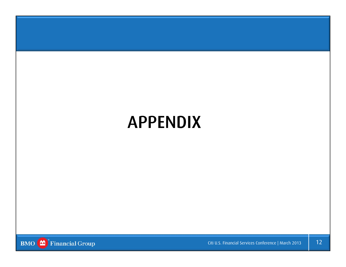# APPENDIX

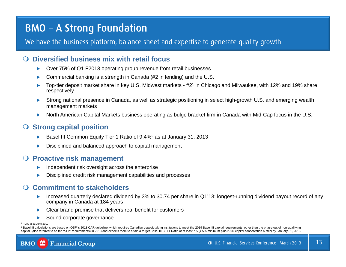## BMO – A Strong Foundation

We have the business platform, balance sheet and expertise to generate quality growth

#### $\Omega$ **Diversified business mix with retail focus**

- $\blacktriangleright$ Over 75% of Q1 F2013 operating group revenue from retail businesses
- $\blacktriangleright$ Commercial banking is a strength in Canada (#2 in lending) and the U.S.
- $\blacktriangleright$  Top-tier deposit market share in key U.S. Midwest markets - #21 in Chicago and Milwaukee, with 12% and 19% share respectively
- $\blacktriangleright$  Strong national presence in Canada, as well as strategic positioning in select high-growth U.S. and emerging wealth management markets
- $\blacktriangleright$ North American Capital Markets business operating as bulge bracket firm in Canada with Mid-Cap focus in the U.S.

#### **Strong capital position**

- $\blacktriangleright$ Basel III Common Equity Tier 1 Ratio of 9.4%2 as at January 31, 2013
- ▶ Disciplined and balanced approach to capital management

#### **Proactive risk management**

- $\blacktriangleright$ Independent risk oversight across the enterprise
- $\blacktriangleright$ Disciplined credit risk management capabilities and processes

#### $\Omega$ **Commitment to stakeholders**

- $\blacktriangleright$  Increased quarterly declared dividend by 3% to \$0.74 per share in Q1'13; longest-running dividend payout record of any company in Canada at 184 years
- ▶ Clear brand promise that delivers real benefit for customers
- $\blacktriangleright$ Sound corporate governance

1 FDIC as at June 2012

2 Basel III calculations are based on OSFI's 2013 CAR guideline, which requires Canadian deposit-taking institutions to meet the 2019 Basel III capital requirements, other than the phase-out of non-qualifying capital, (also referred to as the 'all-in' requirements) in 2013 and expects them to attain a target Basel III CET1 Ratio of at least 7% (4.5% minimum plus 2.5% capital conservation buffer) by January 31, 2013.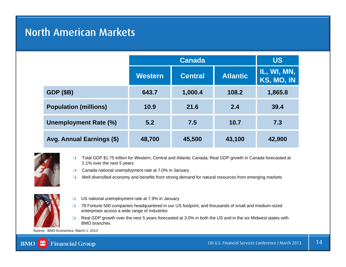## North American Markets

|                              |                | <b>US</b>      |                 |                           |
|------------------------------|----------------|----------------|-----------------|---------------------------|
|                              | <b>Western</b> | <b>Central</b> | <b>Atlantic</b> | IL, WI, MN,<br>KS, MO, IN |
| <b>GDP (\$B)</b>             | 643.7          | 1,000.4        | 108.2           | 1,865.8                   |
| <b>Population (millions)</b> | 10.9           | 21.6           | 2.4             | 39.4                      |
| <b>Unemployment Rate (%)</b> | 5.2            | 7.5            | 10.7            | 7.3                       |
| Avg. Annual Earnings (\$)    | 48,700         | 45,500         | 43,100          | 42,900                    |



- $\overline{O}$  Total GDP \$1.75 trillion for Western, Central and Atlantic Canada; Real GDP growth in Canada forecasted at 2.1% over the next 5 years
- $\overline{O}$ Canada national unemployment rate at 7.0% in January
- $\Omega$ Well diversified economy and benefits from strong demand for natural resources from emerging markets



- $\bullet$ US national unemployment rate at 7.9% in January
- $\Omega$  78 Fortune 500 companies headquartered in our US footprint, and thousands of small and medium-sized enterprises across a wide range of industries
- $\Omega$  Real GDP growth over the next 5 years forecasted at 3.0% in both the US and in the six Midwest states with BMO branches

Source: BMO Economics, March 1, 2013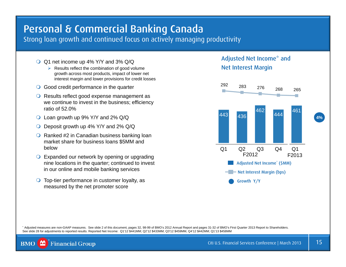## Personal & Commercial Banking Canada

Strong loan growth and continued focus on actively managing productivity

- Q1 net income up 4% Y/Y and 3% Q/Q
	- $\triangleright$  Results reflect the combination of good volume growth across most products, impact of lower net interest margin and lower provisions for credit losses
- **Good credit performance in the quarter**
- Results reflect good expense management as we continue to invest in the business; efficiency ratio of 52.0%
- Loan growth up 9% Y/Y and 2% Q/Q
- Deposit growth up 4% Y/Y and 2% Q/Q
- $\bigcirc$  Ranked #2 in Canadian business banking loan market share for business loans \$5MM and below
- **Expanded our network by opening or upgrading** nine locations in the quarter; continued to invest in our online and mobile banking services
- Top-tier performance in customer loyalty, as measured by the net promoter score

### Adjusted Net Income\* and Net Interest Margin



Adjusted measures are non-GAAP measures. See slide 2 of this document, pages 32, 98-99 of BMO's 2012 Annual Report and pages 31-32 of BMO's First Quarter 2013 Report to Shareholders. See slide 28 for adjustments to reported results. Reported Net Income: Q1'12 \$441MM; Q2'12 \$433MM; Q3'12 \$459MM, Q4'12 \$442MM; Q1'13 \$458MM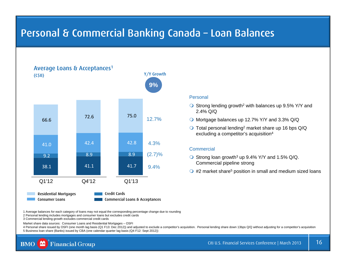## Personal & Commercial Banking Canada – Loan Balances

Y/Y Growth

### Average Loans & Acceptances1 (C\$B)



#### **Personal**

- $\bigcirc$  Strong lending growth<sup>2</sup> with balances up 9.5% Y/Y and 2.4% Q/Q
- Mortgage balances up 12.7% Y/Y and 3.3% Q/Q
- $\bigcirc$  Total personal lending<sup>2</sup> market share up 16 bps Q/Q excluding a competitor's acquisition4

#### **Commercial**

- $\bigcirc$  Strong loan growth<sup>3</sup> up 9.4% Y/Y and 1.5% Q/Q. Commercial pipeline strong
- $\bigcirc$  #2 market share<sup>5</sup> position in small and medium sized loans

1 Average balances for each category of loans may not equal the corresponding percentage change due to rounding

2 Personal lending includes mortgages and consumer loans but excludes credit cards

3 Commercial lending growth excludes commercial credit cards

Market share data sources: Consumer Loans and Residential Mortgages – OSFI

4 Personal share issued by OSFI (one month lag basis (Q1 F13: Dec 2012)) and adjusted to exclude a competitor's acquisition. Personal lending share down 13bps Q/Q without adjusting for a competitor's acquisition 5 Business loan share (Banks) issued by CBA (one calendar quarter lag basis (Q4 F12: Sept 2012))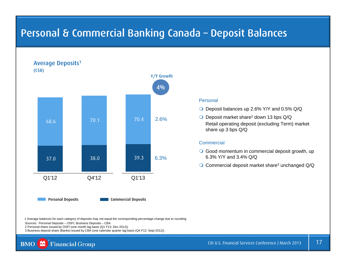## Personal & Commercial Banking Canada – Deposit Balances



#### Personal

- Deposit balances up 2.6% Y/Y and 0.5% Q/Q
- $\bigcirc$  Deposit market share<sup>2</sup> down 13 bps Q/Q Retail operating deposit (excluding Term) market share up 3 bps Q/Q

#### **Commercial**

- $\bigcirc$  Good momentum in commercial deposit growth, up 6.3% Y/Y and 3.4% Q/Q
- $\bigcirc$  Commercial deposit market share<sup>3</sup> unchanged Q/Q

1 Average balances for each category of deposits may not equal the corresponding percentage change due to rounding

Sources: Personal Deposits – OSFI; Business Deposits – CBA

2 Personal share issued by OSFI (one month lag basis (Q1 F13: Dec 2012))

3 Business deposit share (Banks) issued by CBA (one calendar quarter lag basis (Q4 F12: Sept 2012))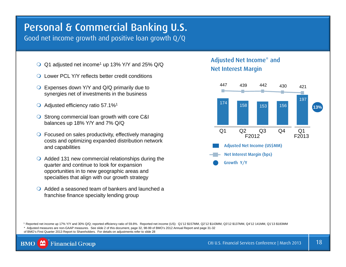## Personal & Commercial Banking U.S.

Good net income growth and positive loan growth Q/Q

- $\bigcirc$  Q1 adjusted net income<sup>1</sup> up 13% Y/Y and 25% Q/Q
- Lower PCL Y/Y reflects better credit conditions
- Expenses down Y/Y and Q/Q primarily due to synergies net of investments in the business
- $\bigcirc$  Adjusted efficiency ratio 57.1%<sup>1</sup>
- **Strong commercial loan growth with core C&I** balances up 18% Y/Y and 7% Q/Q
- Focused on sales productivity, effectively managing costs and optimizing expanded distribution network and capabilities
- $\bigcirc$  Added 131 new commercial relationships during the quarter and continue to look for expansion opportunities in to new geographic areas and specialties that align with our growth strategy
- $\bigcirc$  Added a seasoned team of bankers and launched a franchise finance specialty lending group

### Adjusted Net Income\* and Net Interest Margin



1 Reported net income up 17% Y/Y and 30% Q/Q; reported efficiency ratio of 59.8%. Reported net income (US): Q1'12 \$157MM, Q2'12 \$143MM, Q3'12 \$137MM, Q4'12 141MM, Q1'13 \$183MM \* Adjusted measures are non-GAAP measures. See slide 2 of this document, page 32, 98-99 of BMO's 2012 Annual Report and page 31-32 of BMO's First Quarter 2013 Report to Shareholders. For details on adjustments refer to slide 28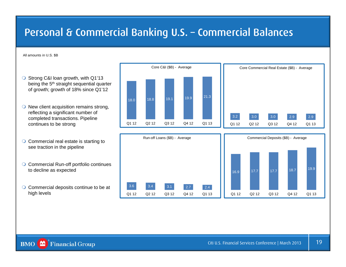## Personal & Commercial Banking U.S. – Commercial Balances

3.6

3.4

All amounts in U.S. \$B

- ◯ Strong C&I loan growth, with Q1'13 being the 5<sup>th</sup> straight sequential quarter of growth; growth of 18% since Q1'12
- $\bigcirc$  New client acquisition remains strong, reflecting a significant number of completed transactions. Pipeline continues to be strong
- ◯ Commercial real estate is starting to see traction in the pipeline
- ◯ Commercial Run-off portfolio continues to decline as expected
- ◯ Commercial deposits continue to be at high levels





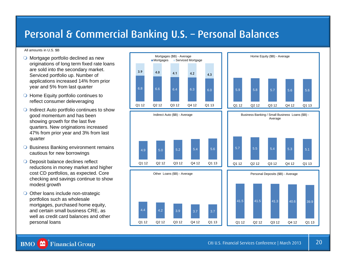## Personal & Commercial Banking U.S. – Personal Balances

#### All amounts in U.S. \$B

- **O** Mortgage portfolio declined as new originations of long term fixed rate loans are sold into the secondary market. Serviced portfolio up. Number of applications increased 14% from prior year and 5% from last quarter
- $\bigcirc$  Home Equity portfolio continues to reflect consumer deleveraging
- $\bigcirc$  Indirect Auto portfolio continues to show good momentum and has been showing growth for the last five quarters. New originations increased 47% from prior year and 3% from last quarter
- $\bigcirc$  Business Banking environment remains cautious for new borrowings
- O Deposit balance declines reflect reductions in money market and higher cost CD portfolios, as expected. Core checking and savings continue to show modest growth
- $\bigcirc$  Other loans include non-strategic portfolios such as wholesale mortgages, purchased home equity, and certain small business CRE, as well as credit card balances and other personal loans











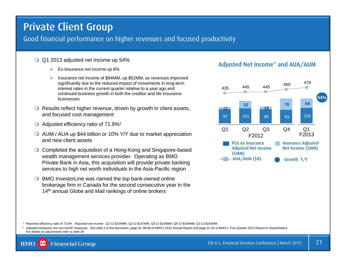## Private Client Group

### Good financial performance on higher revenues and focused productivity

- ◯ Q1 2013 adjusted net income up 54%
	- $\triangleright$  Ex-Insurance net income up 8%
	- ⋗ Insurance net income of \$64MM, up \$52MM, as revenues improved significantly due to the reduced impact of movements in long-term interest rates in the current quarter relative to a year ago and continued business growth in both the creditor and life insurance businesses
- $\bigcirc$  Results reflect higher revenue, driven by growth in client assets, and focused cost management
- $\bigcirc$  Adjusted efficiency ratio of 71.9%<sup>1</sup>
- AUM / AUA up \$44 billion or 10% Y/Y due to market appreciation and new client assets
- Completed the acquisition of a Hong-Kong and Singapore-based wealth management services provider. Operating as BMO Private Bank in Asia, this acquisition will provide private banking services to high net worth individuals in the Asia-Pacific region
- **O** BMO InvestorLine was named the top bank-owned online brokerage firm in Canada for the second consecutive year in the 14<sup>th</sup> annual Globe and Mail rankings of online brokers

### Adjusted Net Income\* and AUA/AUM



1 Reported efficiency ratio of 73.0%. Reported net income: Q1'12 \$104MM, Q2'12 \$147MM, Q3'12 \$109MM, Q4'12 \$164MM, Q1'13 \$163MM

\* Adjusted measures are non-GAAP measures. See slide 2 of this document, page 32, 98-99 of BMO's 2012 Annual Report and page 31-32 of BMO's First Quarter 2013 Report to Shareholders For details on adjustments refer to slide 28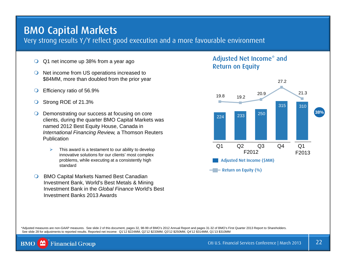### BMO Capital Markets

Very strong results Y/Y reflect good execution and a more favourable environment

- Q1 net income up 38% from a year ago
- $\bigcirc$  Net income from US operations increased to \$84MM, more than doubled from the prior year
- $\mathbf{\mathsf{O}}$ Efficiency ratio of 56.9%
- $\bullet$ Strong ROE of 21.3%
- **O** Demonstrating our success at focusing on core clients, during the quarter BMO Capital Markets was named 2012 Best Equity House, Canada in *International Financing Review,* a Thomson Reuters **Publication** 
	- ⋗ This award is a testament to our ability to develop innovative solutions for our clients' most complex problems, while executing at a consistently high standard
- $\bigcirc$  BMO Capital Markets Named Best Canadian Investment Bank, World's Best Metals & Mining Investment Bank in the *Global Finance* World's Best Investment Banks 2013 Awards

#### Adjusted Net Income\* and Return on Equity



\*Adjusted measures are non-GAAP measures. See slide 2 of this document, pages 32, 98-99 of BMO's 2012 Annual Report and pages 31-32 of BMO's First Quarter 2013 Report to Shareholders. See slide 28 for adjustments to reported results. Reported net income: Q1'12 \$224MM, Q2'12 \$233MM, Q3'12 \$250MM, Q4'12 \$314MM, Q1'13 \$310MM

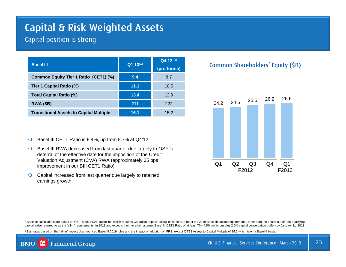## Capital & Risk Weighted Assets

### Capital position is strong

| <b>Basel III</b>                               | $Q1 13^{(1)}$ | Q4 12 (2)<br>(pro forma) |
|------------------------------------------------|---------------|--------------------------|
| Common Equity Tier 1 Ratio (CET1) (%)          | 9.4           | 8.7                      |
| Tier 1 Capital Ratio (%)                       | 11.1          | 10.5                     |
| <b>Total Capital Ratio (%)</b>                 | 13.4          | 12.9                     |
| <b>RWA (\$B)</b>                               | 211           | 222                      |
| <b>Transitional Assets to Capital Multiple</b> | 16.1          | 15.2                     |

 $\circ$ Basel III CET1 Ratio is 9.4%, up from 8.7% at Q4'12

- $\circ$  Basel III RWA decreased from last quarter due largely to OSFI's deferral of the effective date for the imposition of the Credit Valuation Adjustment (CVA) RWA (approximately 35 bps improvement in our BIII CET1 Ratio)
- $\circ$  Capital increased from last quarter due largely to retained earnings growth

1 Basel III calculations are based on OSFI's 2013 CAR guideline, which requires Canadian deposit-taking institutions to meet the 2019 Basel III capital requirements, other than the phase-out of non-qualifying capital, (also referred to as the 'all-in' requirements) in 2013 and expects them to attain a target Basel III CET1 Ratio of at least 7% (4.5% minimum plus 2.5% capital conservation buffer) by January 31, 2013.

<sup>2</sup> Estimates based on the "all-in" impact of announced Basel III 2019 rules and the impact of adoption of IFRS, except Q4'12 Assets to Capital Multiple of 15.2 which is on a Basel II basis.

### Common Shareholders' Equity (\$B)



**BMO**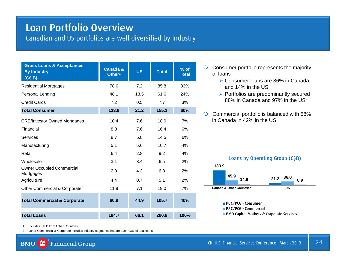### Loan Portfolio Overview

Canadian and US portfolios are well diversified by industry

| <b>Gross Loans &amp; Acceptances</b><br><b>By Industry</b><br>(C\$B) | Canada &<br>Other <sup>1</sup> | <b>US</b> | <b>Total</b> | $%$ of<br><b>Total</b> |
|----------------------------------------------------------------------|--------------------------------|-----------|--------------|------------------------|
| <b>Residential Mortgages</b>                                         | 78.6                           | 7.2       | 85.8         | 33%                    |
| Personal Lending                                                     | 48.1                           | 13.5      | 61.6         | 24%                    |
| <b>Credit Cards</b>                                                  | 7.2                            | 0.5       | 7.7          | 3%                     |
| <b>Total Consumer</b>                                                | 133.9                          | 21.2      | 155.1        | 60%                    |
| <b>CRE/Investor Owned Mortgages</b>                                  | 10.4                           | 7.6       | 18.0         | 7%                     |
| Financial                                                            | 8.8                            | 7.6       | 16.4         | 6%                     |
| Services                                                             | 8.7                            | 5.8       | 14.5         | 6%                     |
| Manufacturing                                                        | 5.1                            | 5.6       | 10.7         | 4%                     |
| Retail                                                               | 6.4                            | 2.8       | 9.2          | 4%                     |
| Wholesale                                                            | 3.1                            | 3.4       | 6.5          | 2%                     |
| <b>Owner Occupied Commercial</b><br>Mortgages                        | 2.0                            | 4.3       | 6.3          | 2%                     |
| Agriculture                                                          | 4.4                            | 0.7       | 5.1          | 2%                     |
| Other Commercial & Corporate <sup>2</sup>                            | 11.9                           | 7.1       | 19.0         | 7%                     |
| <b>Total Commercial &amp; Corporate</b>                              | 60.8                           | 44.9      | 105.7        | 40%                    |
| <b>Total Loans</b>                                                   | 194.7                          | 66.1      | 260.8        | 100%                   |

- $\bigcirc$  Consumer portfolio represents the majority of loans
	- Consumer loans are 86% in Canada and 14% in the US
	- $\triangleright$  Portfolios are predominantly secured 88% in Canada and 97% in the US
- $\bigcirc$  Commercial portfolio is balanced with 58% in Canada in 42% in the US



P&C/PCG - Consumer P&C/PCG - Commercial **BMO Capital Markets & Corporate Services** 

1 Includes ~\$5B from Other Countries

2 Other Commercial & Corporate includes industry segments that are each <3% of total loans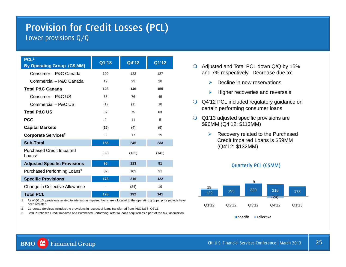### Provision for Credit Losses (PCL) Lower provisions Q/Q

| PCL <sup>1</sup><br><b>By Operating Group (C\$ MM)</b> | Q1'13 | Q4'12 | Q1'12 | Adjusted and Total PCL down Q/Q by 15%<br>$\circ$    |
|--------------------------------------------------------|-------|-------|-------|------------------------------------------------------|
| Consumer - P&C Canada                                  | 109   | 123   | 127   | and 7% respectively. Decrease due to:                |
| Commercial - P&C Canada                                | 19    | 23    | 28    | Decline in new reservations                          |
| <b>Total P&amp;C Canada</b>                            | 128   | 146   | 155   | Higher recoveries and reversals<br>➤                 |
| Consumer - P&C US                                      | 33    | 76    | 45    |                                                      |
| Commercial - P&C US                                    | (1)   | (1)   | 18    | Q4'12 PCL included regulatory guidance of<br>$\circ$ |
| <b>Total P&amp;C US</b>                                | 32    | 75    | 63    | certain performing consumer loans                    |
| <b>PCG</b>                                             | 2     | 11    | 5     | Q1'13 adjusted specific provisions are<br>$\circ$    |
| <b>Capital Markets</b>                                 | (15)  | (4)   | (9)   | \$96MM (Q4'12: \$113MM)                              |
| <b>Corporate Services<sup>2</sup></b>                  | 8     | 17    | 19    | Recovery related to the Purchased<br>➤               |
| <b>Sub-Total</b>                                       | 155   | 245   | 233   | Credit Impaired Loans is \$59MM                      |
| <b>Purchased Credit Impaired</b><br>Loans <sup>3</sup> | (59)  | (132) | (142) | (Q4'12: \$132MM)                                     |
| <b>Adjusted Specific Provisions</b>                    | 96    | 113   | 91    | Quarterly PCL (C\$MM)                                |
| Purchased Performing Loans <sup>3</sup>                | 82    | 103   | 31    |                                                      |
| <b>Specific Provisions</b>                             | 178   | 216   | $122$ | 8                                                    |
| Change in Collective Allowance                         |       | (24)  | 19    | 19<br>229                                            |
| <b>Total PCL</b>                                       | 178   | 192   | 141   | 216<br>195<br>178<br>122                             |

1 As of Q1'13, provisions related to interest on impaired loans are allocated to the operating groups, prior periods have been restated

2 Corporate Services includes the provisions in respect of loans transferred from P&C US in Q3'11

3 Both Purchased Credit Impaired and Purchased Performing, refer to loans acquired as a part of the M&I acquisition

- Adjusted and Total PCL down Q/Q by 15% and 7% respectively. Decrease due to:
	- $\blacktriangleright$ Decline in new reservations
	- ➤ Higher recoveries and reversals
- ◯ Q4'12 PCL included regulatory guidance on certain performing consumer loans
- ◯ Q1'13 adjusted specific provisions are \$96MM (Q4'12: \$113MM)
	- $\triangleright$  Recovery related to the Purchased Credit Impaired Loans is \$59MM (Q4'12: \$132MM)



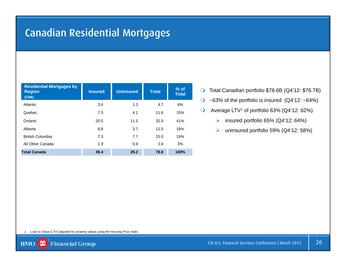## Canadian Residential Mortgages

| <b>Residential Mortgages by</b><br><b>Region</b><br>(C\$B) | <b>Insured</b> | <b>Uninsured</b> | <b>Total</b> | $%$ of<br><b>Total</b> |
|------------------------------------------------------------|----------------|------------------|--------------|------------------------|
| Atlantic                                                   | 3.4            | 1.3              | 4.7          | 6%                     |
| Quebec                                                     | 7.5            | 4.1              | 11.6         | 15%                    |
| Ontario                                                    | 20.5           | 11.5             | 32.0         | 41%                    |
| Alberta                                                    | 8.8            | 3.7              | 12.5         | 16%                    |
| <b>British Columbia</b>                                    | 7.3            | 7.7              | 15.0         | 19%                    |
| All Other Canada                                           | 1.9            | 0.9              | 2.8          | 3%                     |
| <b>Total Canada</b>                                        | 49.4           | 29.2             | 78.6         | 100%                   |

- $\bigcirc$ Total Canadian portfolio \$78.6B (Q4'12: \$76.7B)
- $\bullet$  $\sim$  63% of the portfolio is insured (Q4'12:  $\sim$  64%)
- $\overline{O}$  Average LTV1 of portfolio 63% (Q4'12: 62%)
	- $\blacktriangleright$ insured portfolio 65% (Q4'12: 64%)
	- $\blacktriangleright$ uninsured portfolio 59% (Q4'12: 58%)

1 Loan to Value (LTV) adjusted for property values using the Housing Price Index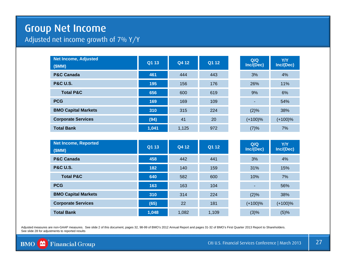### Group Net Income Adjusted net income growth of 7% Y/Y

| <b>Net Income, Adjusted</b><br>(SMM) | Q113  | Q4 12 | Q1 12 | Q/Q<br>Inc/(Dec) | <b>Y/Y</b><br>Inc/(Dec) |
|--------------------------------------|-------|-------|-------|------------------|-------------------------|
| <b>P&amp;C Canada</b>                | 461   | 444   | 443   | 3%               | 4%                      |
| <b>P&amp;C U.S.</b>                  | 195   | 156   | 176   | 26%              | 11%                     |
| <b>Total P&amp;C</b>                 | 656   | 600   | 619   | 9%               | 6%                      |
| <b>PCG</b>                           | 169   | 169   | 109   | ٠                | 54%                     |
| <b>BMO Capital Markets</b>           | 310   | 315   | 224   | (2)%             | 38%                     |
| <b>Corporate Services</b>            | (94)  | 41    | 20    | $(+100)%$        | $(+100)%$               |
| <b>Total Bank</b>                    | 1,041 | 1,125 | 972   | (7)%             | 7%                      |

| <b>Net Income, Reported</b><br>(SMM) | Q1 13 | Q4 12 | Q1 12 | Q/Q<br>Inc/(Dec) | <b>Y/Y</b><br>Inc/(Dec) |
|--------------------------------------|-------|-------|-------|------------------|-------------------------|
| <b>P&amp;C Canada</b>                | 458   | 442   | 441   | 3%               | 4%                      |
| <b>P&amp;C U.S.</b>                  | 182   | 140   | 159   | 31%              | 15%                     |
| <b>Total P&amp;C</b>                 | 640   | 582   | 600   | 10%              | 7%                      |
| <b>PCG</b>                           | 163   | 163   | 104   |                  | 56%                     |
| <b>BMO Capital Markets</b>           | 310   | 314   | 224   | (2)%             | 38%                     |
| <b>Corporate Services</b>            | (65)  | 22    | 181   | $(+100)%$        | $(+100)%$               |
| <b>Total Bank</b>                    | 1,048 | 1,082 | 1,109 | (3)%             | (5)%                    |

Adjusted measures are non-GAAP measures. See slide 2 of this document, pages 32, 98-99 of BMO's 2012 Annual Report and pages 31-32 of BMO's First Quarter 2013 Report to Shareholders. See slide 28 for adjustments to reported results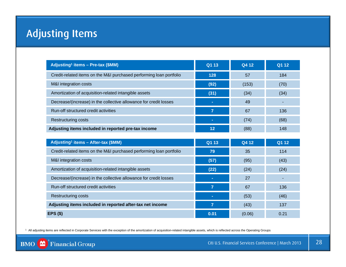## Adjusting Items

| Adjusting <sup>1</sup> items - Pre-tax (\$MM)                       | Q1 13          | Q4 12 | Q1 12 |
|---------------------------------------------------------------------|----------------|-------|-------|
| Credit-related items on the M&I purchased performing loan portfolio | 128            | 57    | 184   |
| M&I integration costs                                               | (92)           | (153) | (70)  |
| Amortization of acquisition-related intangible assets               | (31)           | (34)  | (34)  |
| Decrease/(increase) in the collective allowance for credit losses   | $\blacksquare$ | 49    |       |
| Run-off structured credit activities                                | 7              | 67    | 136   |
| Restructuring costs                                                 |                | (74)  | (68)  |
| Adjusting items included in reported pre-tax income                 | 12             | (88)  | 148   |

| Adjusting <sup>1</sup> items - After-tax (\$MM)                     | Q1 13                    | Q4 12  | Q1 12 |
|---------------------------------------------------------------------|--------------------------|--------|-------|
| Credit-related items on the M&I purchased performing loan portfolio | 79                       | 35     | 114   |
| M&I integration costs                                               | (57)                     | (95)   | (43)  |
| Amortization of acquisition-related intangible assets               | (22)                     | (24)   | (24)  |
| Decrease/(increase) in the collective allowance for credit losses   | <b>COL</b>               | 27     |       |
| Run-off structured credit activities                                | 7                        | 67     | 136   |
| <b>Restructuring costs</b>                                          | $\sim$                   | (53)   | (46)  |
| Adjusting items included in reported after-tax net income           | $\overline{\phantom{a}}$ | (43)   | 137   |
| <b>EPS (\$)</b>                                                     | 0.01                     | (0.06) | 0.21  |

1 All adjusting items are reflected in Corporate Services with the exception of the amortization of acquisition-related intangible assets, which is reflected across the Operating Groups